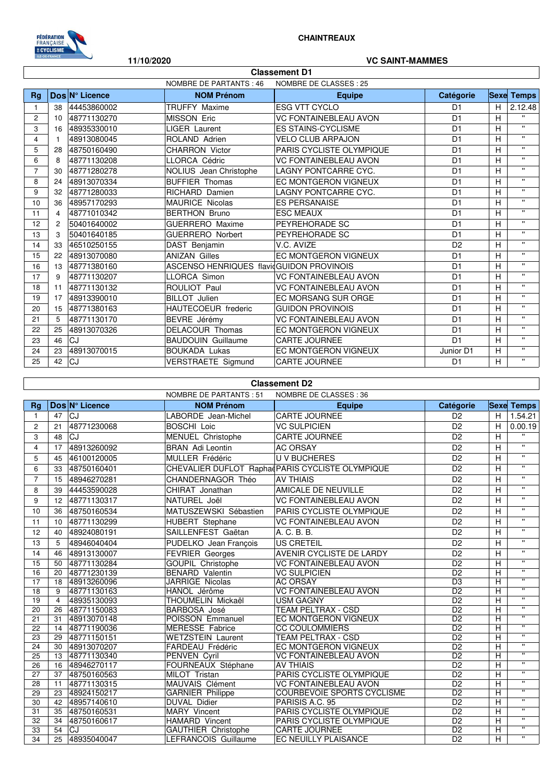

 $\mathsf I$ 

## **CHAINTREAUX**

#### **11/10/2020 VC SAINT-MAMMES**

٦

|                | <b>Classement D1</b>                              |                |                                          |                              |                |   |                   |  |  |
|----------------|---------------------------------------------------|----------------|------------------------------------------|------------------------------|----------------|---|-------------------|--|--|
|                | NOMBRE DE PARTANTS : 46<br>NOMBRE DE CLASSES : 25 |                |                                          |                              |                |   |                   |  |  |
| Ra             |                                                   | Dos Nº Licence | <b>NOM Prénom</b>                        | <b>Equipe</b>                | Catégorie      |   | <b>Sexe Temps</b> |  |  |
|                | 38                                                | 44453860002    | <b>TRUFFY Maxime</b>                     | <b>ESG VTT CYCLO</b>         | D <sub>1</sub> | н | 2.12.48           |  |  |
| $\overline{c}$ | 10                                                | 48771130270    | <b>MISSON Eric</b>                       | <b>VC FONTAINEBLEAU AVON</b> | D <sub>1</sub> | н | $\mathbf{u}$      |  |  |
| 3              | 16                                                | 48935330010    | <b>LIGER Laurent</b>                     | <b>ES STAINS-CYCLISME</b>    | D <sub>1</sub> | H | $\mathbf{u}$      |  |  |
| 4              |                                                   | 48913080045    | ROLAND Adrien                            | <b>VELO CLUB ARPAJON</b>     | D <sub>1</sub> | н | $\mathbf{u}$      |  |  |
| 5              | 28                                                | 48750160490    | CHARRON Victor                           | PARIS CYCLISTE OLYMPIQUE     | D <sub>1</sub> | н | $\mathbf{H}$      |  |  |
| 6              | 8                                                 | 48771130208    | LLORCA Cédric                            | <b>VC FONTAINEBLEAU AVON</b> | D <sub>1</sub> | н | $\mathbf{u}$      |  |  |
| $\overline{7}$ | 30                                                | 48771280278    | NOLIUS Jean Christophe                   | LAGNY PONTCARRE CYC.         | D <sub>1</sub> | н | $\mathbf{u}$      |  |  |
| 8              | 24                                                | 48913070334    | <b>BUFFIER Thomas</b>                    | EC MONTGERON VIGNEUX         | D <sub>1</sub> | Н | $\mathbf{H}$      |  |  |
| 9              | 32                                                | 48771280033    | RICHARD Damien                           | LAGNY PONTCARRE CYC.         | D <sub>1</sub> | н | $\bullet$         |  |  |
| 10             | 36                                                | 48957170293    | MAURICE Nicolas                          | <b>ES PERSANAISE</b>         | D <sub>1</sub> | Н | $\mathbf{u}$      |  |  |
| 11             | 4                                                 | 48771010342    | <b>BERTHON Bruno</b>                     | <b>ESC MEAUX</b>             | D <sub>1</sub> | н | $\mathbf{H}$      |  |  |
| 12             | 2                                                 | 50401640002    | <b>GUERRERO</b> Maxime                   | PEYREHORADE SC               | D <sub>1</sub> | н | $\bullet$         |  |  |
| 13             | 3                                                 | 50401640185    | <b>GUERRERO Norbert</b>                  | PEYREHORADE SC               | D <sub>1</sub> | Н | $\bullet$         |  |  |
| 14             | 33                                                | 46510250155    | DAST Benjamin                            | V.C. AVIZE                   | D <sub>2</sub> | н | $\mathbf{u}$      |  |  |
| 15             | 22                                                | 48913070080    | <b>ANIZAN Gilles</b>                     | <b>EC MONTGERON VIGNEUX</b>  | D <sub>1</sub> | н | $\mathbf{u}$      |  |  |
| 16             | 13                                                | 48771380160    | ASCENSO HENRIQUES flavidGUIDON PROVINOIS |                              | D <sub>1</sub> | Н | $\mathbf{H}$      |  |  |
| 17             | 9                                                 | 48771130207    | <b>LLORCA Simon</b>                      | <b>VC FONTAINEBLEAU AVON</b> | D <sub>1</sub> | н | $\bullet$         |  |  |
| 18             | 11                                                | 48771130132    | ROULIOT Paul                             | <b>VC FONTAINEBLEAU AVON</b> | D <sub>1</sub> | н | $\mathbf{u}$      |  |  |
| 19             | 17                                                | 48913390010    | <b>BILLOT</b> Julien                     | EC MORSANG SUR ORGE          | D <sub>1</sub> | н | $\mathbf{u}$      |  |  |
| 20             | 15                                                | 48771380163    | HAUTECOEUR frederic                      | <b>GUIDON PROVINOIS</b>      | D <sub>1</sub> | н | $\mathbf{u}$      |  |  |
| 21             | 5                                                 | 48771130170    | BEVRE Jérémy                             | <b>VC FONTAINEBLEAU AVON</b> | D <sub>1</sub> | н | $\mathbf{u}$      |  |  |
| 22             | 25                                                | 48913070326    | <b>DELACOUR Thomas</b>                   | <b>EC MONTGERON VIGNEUX</b>  | D <sub>1</sub> | н | $\mathbf{u}$      |  |  |
| 23             | 46                                                | CJ             | <b>BAUDOUIN Guillaume</b>                | <b>CARTE JOURNEE</b>         | D <sub>1</sub> | н | $\mathbf{u}$      |  |  |
| 24             | 23                                                | 48913070015    | <b>BOUKADA Lukas</b>                     | <b>EC MONTGERON VIGNEUX</b>  | Junior D1      | H | $\mathbf{H}$      |  |  |
| 25             | 42                                                | CJ             | <b>VERSTRAETE Sigmund</b>                | <b>CARTE JOURNEE</b>         | D <sub>1</sub> | H | $\mathbf{u}$      |  |  |

### **Classement D2**

|                 |                |                | <b>NOMBRE DE PARTANTS: 51</b> | NOMBRE DE CLASSES : 36                           |                 |                |                         |
|-----------------|----------------|----------------|-------------------------------|--------------------------------------------------|-----------------|----------------|-------------------------|
| Ra              |                | Dos N° Licence | <b>NOM Prénom</b>             | <b>Equipe</b>                                    | Catégorie       |                | <b>Sexe Temps</b>       |
| $\mathbf{1}$    | 47             | <b>CJ</b>      | LABORDE Jean-Michel           | CARTE JOURNEE                                    | D <sub>2</sub>  | H              | 1.54.21                 |
| $\overline{2}$  | 21             | 48771230068    | <b>BOSCHI Loic</b>            | <b>VC SULPICIEN</b>                              | D <sub>2</sub>  | H              | 0.00.19                 |
| 3               | 48             | <b>CJ</b>      | MENUEL Christophe             | <b>CARTE JOURNEE</b>                             | D <sub>2</sub>  | H              | $\mathbf{H}$            |
| 4               | 17             | 48913260092    | <b>BRAN</b> Adi Leontin       | <b>AC ORSAY</b>                                  | D <sub>2</sub>  | H              | $\mathbf{H}$            |
| 5               | 45             | 46100120005    | MULLER Frédéric               | <b>U V BUCHERES</b>                              | D <sub>2</sub>  | H              | $\mathbf{H}$            |
| 6               | 33             | 48750160401    |                               | CHEVALIER DUFLOT Raphad PARIS CYCLISTE OLYMPIQUE | D <sub>2</sub>  | H              | $\mathbf{H}$            |
| $\overline{7}$  | 15             | 48946270281    | CHANDERNAGOR Théo             | <b>AV THIAIS</b>                                 | D <sub>2</sub>  | H              | $\mathbf{H}$            |
| 8               | 39             | 44453590028    | CHIRAT Jonathan               | AMICALE DE NEUVILLE                              | D <sub>2</sub>  | H              | $\mathbf{u}$            |
| 9               | 12             | 48771130317    | NATUREL Joël                  | <b>VC FONTAINEBLEAU AVON</b>                     | D <sub>2</sub>  | H              | $\mathbf{H}$            |
| 10              | 36             | 48750160534    | MATUSZEWSKI Sébastien         | PARIS CYCLISTE OLYMPIQUE                         | D <sub>2</sub>  | H              | $\mathbf{H}$            |
| 11              | 10             | 48771130299    | HUBERT Stephane               | <b>VC FONTAINEBLEAU AVON</b>                     | D <sub>2</sub>  | $\overline{H}$ | $\mathbf{u}$            |
| 12              | 40             | 48924080191    | SAILLENFEST Gaëtan            | A. C. B. B.                                      | D <sub>2</sub>  | H              | $\mathbf{u}$            |
| 13              | 5              | 48946040404    | PUDELKO Jean François         | <b>US CRETEIL</b>                                | D <sub>2</sub>  | H              | $\mathbf{H}$            |
| 14              | 46             | 48913130007    | <b>FEVRIER Georges</b>        | AVENIR CYCLISTE DE LARDY                         | D <sub>2</sub>  | H              | $\mathbf{H}$            |
| 15              | 50             | 48771130284    | GOUPIL Christophe             | <b>VC FONTAINEBLEAU AVON</b>                     | D <sub>2</sub>  | H              | $\mathbf{H}$            |
| 16              | 20             | 48771230139    | <b>BENARD Valentin</b>        | <b>VC SULPICIEN</b>                              | D <sub>2</sub>  | H              | π                       |
| 17              | 18             | 48913260096    | JARRIGE Nicolas               | <b>AC ORSAY</b>                                  | D <sub>3</sub>  | H              | π                       |
| 18              | 9              | 48771130163    | HANOL Jérôme                  | <b>VC FONTAINEBLEAU AVON</b>                     | D <sub>2</sub>  | H              | π                       |
| 19              | $\overline{4}$ | 48935130093    | THOUMELIN Mickaël             | <b>USM GAGNY</b>                                 | D <sub>2</sub>  | H              | π                       |
| 20              | 26             | 48771150083    | BARBOSA José                  | <b>TEAM PELTRAX - CSD</b>                        | $\overline{D2}$ | $\overline{H}$ | $\mathbf{u}$            |
| 21              | 31             | 48913070148    | POISSON Emmanuel              | EC MONTGERON VIGNEUX                             | D <sub>2</sub>  | $\overline{H}$ | π                       |
| 22              | 14             | 48771190036    | <b>MERESSE Fabrice</b>        | <b>CC COULOMMIERS</b>                            | D2              | H              | π                       |
| 23              | 29             | 48771150151    | <b>WETZSTEIN Laurent</b>      | <b>TEAM PELTRAX - CSD</b>                        | $\overline{D2}$ | $\overline{H}$ | π                       |
| 24              | 30             | 48913070207    | FARDEAU Frédéric              | EC MONTGERON VIGNEUX                             | D <sub>2</sub>  | H              | $\mathbf{H}$            |
| 25              | 13             | 48771130340    | <b>PENVEN Cyril</b>           | <b>VC FONTAINEBLEAU AVON</b>                     | $\overline{D2}$ | $\overline{H}$ | $\overline{\mathbf{u}}$ |
| $\overline{26}$ | 16             | 48946270117    | FOURNEAUX Stéphane            | <b>AV THIAIS</b>                                 | $\overline{D2}$ | $\overline{H}$ | $\overline{\mathbf{u}}$ |
| 27              | 37             | 48750160563    | <b>MILOT Tristan</b>          | PARIS CYCLISTE OLYMPIQUE                         | D <sub>2</sub>  | H              | π                       |
| 28              | 11             | 48771130315    | MAUVAIS Clément               | <b>VC FONTAINEBLEAU AVON</b>                     | $\overline{D2}$ | H              | $\overline{\mathbf{u}}$ |
| 29              | 23             | 48924150217    | <b>GARNIER Philippe</b>       | <b>COURBEVOIE SPORTS CYCLISME</b>                | D <sub>2</sub>  | H              | $\pmb{\mathsf{H}}$      |
| 30              | 42             | 48957140610    | DUVAL Didier                  | PARISIS A.C. 95                                  | $\overline{D2}$ | $\overline{H}$ | π                       |
| 31              | 35             | 48750160531    | <b>MARY Vincent</b>           | PARIS CYCLISTE OLYMPIQUE                         | D <sub>2</sub>  | $\overline{H}$ | π                       |
| 32              | 34             | 48750160617    | <b>HAMARD Vincent</b>         | PARIS CYCLISTE OLYMPIQUE                         | $\overline{D2}$ | H              | π                       |
| 33              | 54             | CJ             | <b>GAUTHIER Christophe</b>    | CARTE JOURNEE                                    | D <sub>2</sub>  | $\overline{H}$ | $\mathbf{u}$            |
| 34              | 25             | 48935040047    | LEFRANCOIS Guillaume          | <b>EC NEUILLY PLAISANCE</b>                      | D <sub>2</sub>  | H              | $\mathbf{H}$            |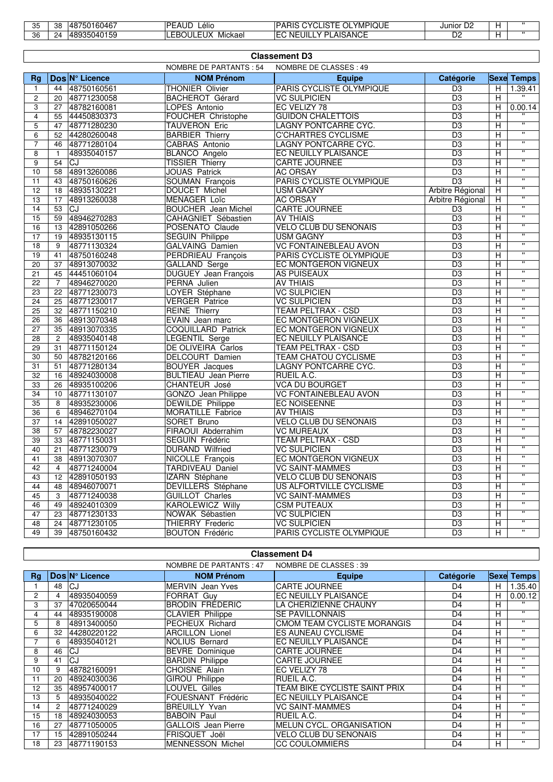| つに<br>ັບ | 38 | 750160467<br>AO<br>$\overline{\phantom{a}}$ | l D C<br>$\overline{\phantom{a}}$<br>Lèlio<br>¬∟ | YMPIQUE<br>אורו ג<br>.<br>יי<br>^^<br>л<br>. .<br>11<br>nı. | Junior<br>ىر      |  |
|----------|----|---------------------------------------------|--------------------------------------------------|-------------------------------------------------------------|-------------------|--|
| 36       | 24 | <b>ARQ350A015C</b><br>−∪ ≀∪⊤                | .<br>וו ור<br>Mickael<br>–⊷<br>_ur<br>.          | SANCE<br><b>AIC</b><br>JIL<br>NF<br>.,<br>- -               | $\mathbf{r}$<br>ש |  |

|                | <b>Classement D3</b>          |                               |                              |                  |                |                                  |  |  |
|----------------|-------------------------------|-------------------------------|------------------------------|------------------|----------------|----------------------------------|--|--|
|                |                               | <b>NOMBRE DE PARTANTS: 54</b> | NOMBRE DE CLASSES : 49       |                  |                |                                  |  |  |
| Rg             | Dos N° Licence                | <b>NOM Prénom</b>             | <b>Equipe</b>                | Catégorie        |                | <b>Sexe Temps</b>                |  |  |
| $\mathbf{1}$   | 48750160561<br>44             | THONIER Olivier               | PARIS CYCLISTE OLYMPIQUE     | D3               | н              | 1.39.41                          |  |  |
| 2              | 20<br>48771230058             | <b>BACHEROT Gérard</b>        | <b>VC SULPICIEN</b>          | D <sub>3</sub>   | H              | $\mathbf{H}$                     |  |  |
| 3              | 48782160081<br>27             | LOPES Antonio                 | EC VELIZY 78                 | D <sub>3</sub>   | H.             | 0.00.14                          |  |  |
| 4              | 55<br>44450830373             | FOUCHER Christophe            | <b>GUIDON CHALETTOIS</b>     | D <sub>3</sub>   | H              |                                  |  |  |
| 5              | 48771280230<br>47             | <b>TAUVERON Eric</b>          | LAGNY PONTCARRE CYC.         | D <sub>3</sub>   | H              |                                  |  |  |
| 6              | 44280260048<br>52             | <b>BARBIER Thierry</b>        | <b>C'CHARTRES CYCLISME</b>   | D <sub>3</sub>   | н              | $\overline{u}$                   |  |  |
| $\overline{7}$ | 48771280104<br>46             | CABRAS Antonio                | LAGNY PONTCARRE CYC.         | D <sub>3</sub>   | Н              | π                                |  |  |
| 8              | 48935040157<br>$\mathbf{1}$   | <b>BLANCO Angelo</b>          | EC NEUILLY PLAISANCE         | $\overline{D3}$  | н              | $\overline{\mathbf{u}}$          |  |  |
| 9              | 54<br>CJ                      | <b>TISSIER Thierry</b>        | CARTE JOURNEE                | D <sub>3</sub>   | H              | $\overline{w}$                   |  |  |
| 10             | 48913260086<br>58             | JOUAS Patrick                 | <b>AC ORSAY</b>              | $\overline{D3}$  | H              | $\overline{\mathbf{u}}$          |  |  |
| 11             | 43<br>48750160626             | <b>SOUMAN François</b>        | PARIS CYCLISTE OLYMPIQUE     | D <sub>3</sub>   | H              | π                                |  |  |
| 12             | 48935130221<br>18             | DOUCET Michel                 | <b>USM GAGNY</b>             | Arbitre Régional | н              | $\overline{\mathbf{u}}$          |  |  |
| 13             | 17<br>48913260038             | <b>MENAGER Loïc</b>           | <b>AC ORSAY</b>              | Arbitre Régional | H              | $\overline{\mathbf{u}}$          |  |  |
| 14             | 53<br>CJ                      | <b>BOUCHER</b> Jean Michel    | <b>CARTE JOURNEE</b>         | D <sub>3</sub>   | н              | π                                |  |  |
| 15             | 48946270283<br>59             | <b>CAHAGNIET Sébastien</b>    | <b>AV THIAIS</b>             | D3               | н              | π                                |  |  |
| 16             | 13<br>42891050266             | POSENATO Claude               | <b>VELO CLUB DU SENONAIS</b> | D <sub>3</sub>   | H              | $\overline{w}$                   |  |  |
| 17             | 19<br>48935130115             | <b>SEGUIN Philippe</b>        | <b>USM GAGNY</b>             | D <sub>3</sub>   | H              | $\overline{\mathbf{u}}$          |  |  |
| 18             | 9<br>48771130324              | <b>GALVAING Damien</b>        | <b>VC FONTAINEBLEAU AVON</b> | D <sub>3</sub>   | H              | $\overline{\mathbf{u}}$          |  |  |
| 19             | 48750160248<br>41             | <b>PERDRIEAU François</b>     | PARIS CYCLISTE OLYMPIQUE     | D <sub>3</sub>   | н              | $\overline{\mathbf{u}}$          |  |  |
| 20             | 48913070032<br>37             | <b>GALLAND Serge</b>          | EC MONTGERON VIGNEUX         | D <sub>3</sub>   | н              | $\overline{\mathbf{u}}$          |  |  |
| 21             | 44451060104<br>45             | <b>DUGUEY</b> Jean François   | <b>AS PUISEAUX</b>           | D <sub>3</sub>   | н              | $\overline{w}$                   |  |  |
| 22             | $\overline{7}$<br>48946270020 | PERNA Julien                  | <b>AV THIAIS</b>             | D <sub>3</sub>   | H.             | $\overline{\mathbf{u}}$          |  |  |
| 23             | 22<br>48771230073             | LOYER Stéphane                | <b>VC SULPICIEN</b>          | D <sub>3</sub>   | H              | $\overline{w}$                   |  |  |
| 24             | 48771230017<br>25             | <b>VERGER</b> Patrice         | <b>VC SULPICIEN</b>          | D <sub>3</sub>   | H              | $\overline{\mathbf{u}}$          |  |  |
| 25             | 32<br>48771150210             | <b>REINE Thierry</b>          | <b>TEAM PELTRAX - CSD</b>    | D <sub>3</sub>   | H              | $\mathbf{u}$                     |  |  |
| 26             | 48913070348<br>36             | EVAIN Jean marc               | EC MONTGERON VIGNEUX         | D3               | н              | π                                |  |  |
| 27             | 48913070335<br>35             | <b>COQUILLARD Patrick</b>     | EC MONTGERON VIGNEUX         | D <sub>3</sub>   | H              | $\overline{\mathbf{u}}$          |  |  |
| 28             | $\overline{2}$<br>48935040148 | <b>LEGENTIL Serge</b>         | EC NEUILLY PLAISANCE         | $\overline{D3}$  | H              | $\overline{\mathbf{u}}$          |  |  |
| 29             | 48771150124<br>31             | DE OLIVEIRA Carlos            | TEAM PELTRAX - CSD           | D <sub>3</sub>   | H.             | $\overline{\mathbf{u}}$          |  |  |
| 30             | 50<br>48782120166             | DELCOURT Damien               | <b>TEAM CHATOU CYCLISME</b>  | D <sub>3</sub>   | H              | $\overline{\mathbf{u}}$          |  |  |
| 31             | 48771280134<br>51             | <b>BOUYER</b> Jacques         | LAGNY PONTCARRE CYC.         | D <sub>3</sub>   | H              | π                                |  |  |
| 32             | 48924030008<br>16             | <b>BULTIEAU</b> Jean Pierre   | RUEIL A.C.                   | D <sub>3</sub>   | H              | $\overline{\mathbf{u}}$          |  |  |
| 33             | 48935100206<br>26             | <b>CHANTEUR José</b>          | <b>VCA DU BOURGET</b>        | D <sub>3</sub>   | н              | π                                |  |  |
| 34             | 48771130107<br>10             | <b>GONZO</b> Jean Philippe    | <b>VC FONTAINEBLEAU AVON</b> | D <sub>3</sub>   | н              | $\overline{w}$                   |  |  |
| 35             | 48935230006<br>8              | DEWILDE Philippe              | EC NOISEENNE                 | D <sub>3</sub>   | H              | $\overline{w}$                   |  |  |
| 36             | 6<br>48946270104              | <b>MORATILLE Fabrice</b>      | <b>AV THIAIS</b>             | D <sub>3</sub>   | H              | $\overline{\mathbf{u}}$          |  |  |
| 37             | 14<br>42891050027             | SORET Bruno                   | <b>VELO CLUB DU SENONAIS</b> | D <sub>3</sub>   | $\overline{H}$ | $\overline{u}$                   |  |  |
| 38             | 57<br>48782230027             | FIRAOUI Abderrahim            | <b>VC MUREAUX</b>            | $\overline{D3}$  | н              | $\overline{\mathbf{u}}$          |  |  |
| 39             | 33<br>48771150031             | SEGUIN Frédéric               | <b>TEAM PELTRAX - CSD</b>    | D <sub>3</sub>   | н              | π                                |  |  |
| 40             | 48771230079<br>21             | <b>DURAND Wilfried</b>        | <b>VC SULPICIEN</b>          | D <sub>3</sub>   | н              | $\overline{\mathbf{u}}$          |  |  |
| 41             | 38<br>48913070307             | NICOLLE François              | EC MONTGERON VIGNEUX         | D <sub>3</sub>   | н              | $\overline{w}$                   |  |  |
| 42             | 48771240004<br>$\overline{4}$ | TARDIVEAU Daniel              | <b>VC SAINT-MAMMES</b>       | D <sub>3</sub>   | H.             | $\overline{w}$                   |  |  |
| 43             | 12<br>42891050193             | IZARN Stéphane                | <b>VELO CLUB DU SENONAIS</b> | D3               | Ξ              | $\overline{\mathbf{u}}$          |  |  |
| 44             | 48<br>48946070071             | DEVILLERS Stéphane            | US ALFORTVILLE CYCLISME      | D <sub>3</sub>   | $\overline{H}$ | π                                |  |  |
| 45             | 48771240038<br>3              | <b>GUILLOT</b> Charles        | <b>VC SAINT-MAMMES</b>       | D3               | н              | $\overline{ }$                   |  |  |
| 46             | 49<br>48924010309             | <b>KAROLEWICZ Willy</b>       | <b>CSM PUTEAUX</b>           | D <sub>3</sub>   | н              | π                                |  |  |
| 47             | 48771230133<br>23             | NOWAK Sébastien               | <b>VC SULPICIEN</b>          | $\overline{D3}$  | н              | $\overline{\mathbf{u}}$          |  |  |
| 48             | 48771230105<br>24             | <b>THIERRY Frederic</b>       | <b>VC SULPICIEN</b>          | D <sub>3</sub>   | H              | $\overline{w}$<br>$\overline{u}$ |  |  |
| 49             | 48750160432<br>39             | <b>BOUTON Frédéric</b>        | PARIS CYCLISTE OLYMPIQUE     | $\overline{D3}$  | H              |                                  |  |  |

| <b>Classement D4</b> |
|----------------------|
|----------------------|

|    |    |                | NOMBRE DE PARTANTS : 47    | NOMBRE DE CLASSES : 39        |                |   |                   |
|----|----|----------------|----------------------------|-------------------------------|----------------|---|-------------------|
| Ra |    | Dos N° Licence | <b>NOM Prénom</b>          | <b>Equipe</b>                 | Catégorie      |   | <b>Sexe Temps</b> |
|    | 48 | ICJ            | <b>MERVIN</b> Jean Yves    | <b>CARTE JOURNEE</b>          | D4             | Н | 1.35.40           |
| 2  | 4  | 48935040059    | <b>FORRAT Guv</b>          | <b>EC NEUILLY PLAISANCE</b>   | D <sub>4</sub> | H | 0.00.12           |
| 3  | 37 | 47020650044    | <b>BRODIN FREDERIC</b>     | LA CHERIZIENNE CHAUNY         | D <sub>4</sub> | Н | $\cdots$          |
| 4  | 44 | 48935190008    | <b>CLAVIER Philippe</b>    | <b>SE PAVILLONNAIS</b>        | D <sub>4</sub> | Н | $\mathbf{H}$      |
| 5  | 8  | 48913400050    | PECHEUX Richard            | CMOM TEAM CYCLISTE MORANGIS   | D4             | н | $\mathbf{H}$      |
| 6  | 32 | 44280220122    | <b>ARCILLON Lionel</b>     | <b>ES AUNEAU CYCLISME</b>     | D <sub>4</sub> | H | $\mathbf{H}$      |
|    | 6  | 48935040121    | <b>NOLIUS Bernard</b>      | <b>EC NEUILLY PLAISANCE</b>   | D <sub>4</sub> | Н | $\mathbf{H}$      |
| 8  | 46 | CJ             | <b>BEVRE</b> Dominique     | <b>CARTE JOURNEE</b>          | D <sub>4</sub> | H | $\mathbf{H}$      |
| 9  | 41 | lCJ            | <b>BARDIN Philippe</b>     | <b>CARTE JOURNEE</b>          | D <sub>4</sub> | H | $\mathbf{H}$      |
| 10 | 9  | 48782160091    | <b>CHOISNE Alain</b>       | EC VELIZY 78                  | D <sub>4</sub> | H | $\mathbf{H}$      |
| 11 | 20 | 48924030036    | <b>GIROU Philippe</b>      | <b>RUEIL A.C.</b>             | D <sub>4</sub> | H | $\mathbf{H}$      |
| 12 | 35 | 48957400017    | LOUVEL Gilles              | TEAM BIKE CYCLISTE SAINT PRIX | D <sub>4</sub> | H | $\mathbf{H}$      |
| 13 | 5. | 48935040022    | FOUESNANT Frédéric         | EC NEUILLY PLAISANCE          | D <sub>4</sub> | H | $\mathbf{H}$      |
| 14 | 2  | 48771240029    | <b>BREUILLY Yvan</b>       | VC SAINT-MAMMES               | D <sub>4</sub> | H | $\mathbf{H}$      |
| 15 | 18 | 48924030053    | <b>BABOIN Paul</b>         | RUEIL A.C.                    | D <sub>4</sub> | Н | $\mathbf{H}$      |
| 16 | 27 | 48771050005    | <b>GALLOIS</b> Jean Pierre | MELUN CYCL, ORGANISATION      | D <sub>4</sub> | H | $\mathbf{H}$      |
| 17 | 15 | 42891050244    | FRISQUET Joël              | <b>VELO CLUB DU SENONAIS</b>  | D4             | н | $\mathbf{H}$      |
| 18 | 23 | 48771190153    | <b>MENNESSON Michel</b>    | <b>CC COULOMMIERS</b>         | D <sub>4</sub> | н | $\mathbf{H}$      |